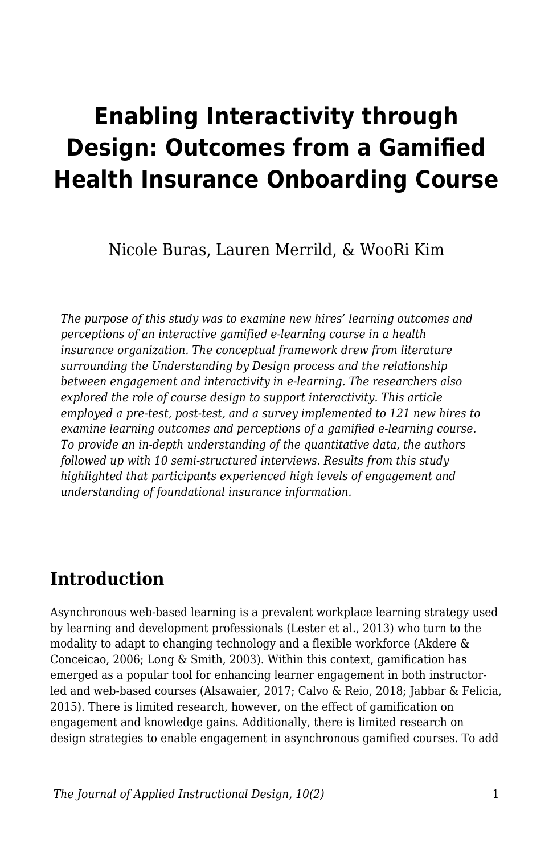# **Enabling Interactivity through Design: Outcomes from a Gamified Health Insurance Onboarding Course**

Nicole Buras, Lauren Merrild, & WooRi Kim

*The purpose of this study was to examine new hires' learning outcomes and perceptions of an interactive gamified e-learning course in a health insurance organization. The conceptual framework drew from literature surrounding the Understanding by Design process and the relationship between engagement and interactivity in e-learning. The researchers also explored the role of course design to support interactivity. This article employed a pre-test, post-test, and a survey implemented to 121 new hires to examine learning outcomes and perceptions of a gamified e-learning course. To provide an in-depth understanding of the quantitative data, the authors followed up with 10 semi-structured interviews. Results from this study highlighted that participants experienced high levels of engagement and understanding of foundational insurance information.*

# **Introduction**

Asynchronous web-based learning is a prevalent workplace learning strategy used by learning and development professionals (Lester et al., 2013) who turn to the modality to adapt to changing technology and a flexible workforce (Akdere & Conceicao, 2006; Long & Smith, 2003). Within this context, gamification has emerged as a popular tool for enhancing learner engagement in both instructorled and web-based courses (Alsawaier, 2017; Calvo & Reio, 2018; Jabbar & Felicia, 2015). There is limited research, however, on the effect of gamification on engagement and knowledge gains. Additionally, there is limited research on design strategies to enable engagement in asynchronous gamified courses. To add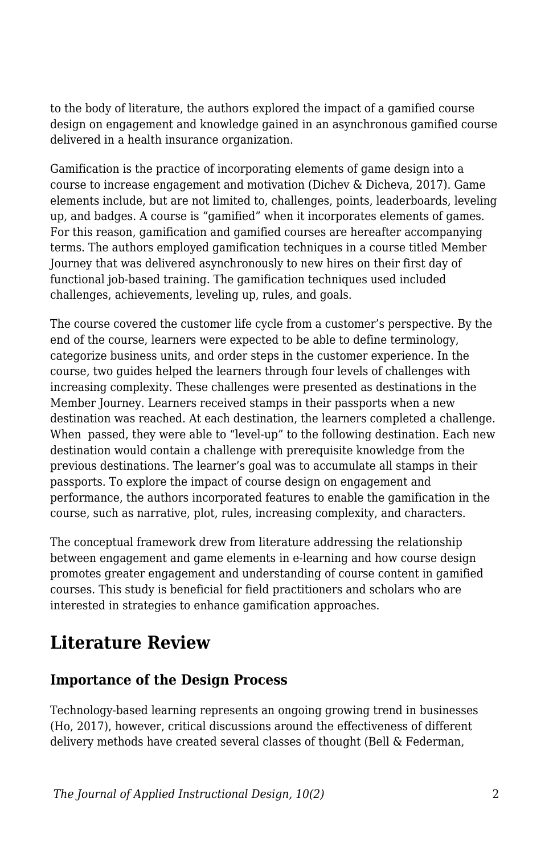to the body of literature, the authors explored the impact of a gamified course design on engagement and knowledge gained in an asynchronous gamified course delivered in a health insurance organization.

Gamification is the practice of incorporating elements of game design into a course to increase engagement and motivation (Dichev & Dicheva, 2017). Game elements include, but are not limited to, challenges, points, leaderboards, leveling up, and badges. A course is "gamified" when it incorporates elements of games. For this reason, gamification and gamified courses are hereafter accompanying terms. The authors employed gamification techniques in a course titled Member Journey that was delivered asynchronously to new hires on their first day of functional job-based training. The gamification techniques used included challenges, achievements, leveling up, rules, and goals.

The course covered the customer life cycle from a customer's perspective. By the end of the course, learners were expected to be able to define terminology, categorize business units, and order steps in the customer experience. In the course, two guides helped the learners through four levels of challenges with increasing complexity. These challenges were presented as destinations in the Member Journey. Learners received stamps in their passports when a new destination was reached. At each destination, the learners completed a challenge. When passed, they were able to "level-up" to the following destination. Each new destination would contain a challenge with prerequisite knowledge from the previous destinations. The learner's goal was to accumulate all stamps in their passports. To explore the impact of course design on engagement and performance, the authors incorporated features to enable the gamification in the course, such as narrative, plot, rules, increasing complexity, and characters.

The conceptual framework drew from literature addressing the relationship between engagement and game elements in e-learning and how course design promotes greater engagement and understanding of course content in gamified courses. This study is beneficial for field practitioners and scholars who are interested in strategies to enhance gamification approaches.

# **Literature Review**

### **Importance of the Design Process**

Technology-based learning represents an ongoing growing trend in businesses (Ho, 2017), however, critical discussions around the effectiveness of different delivery methods have created several classes of thought (Bell & Federman,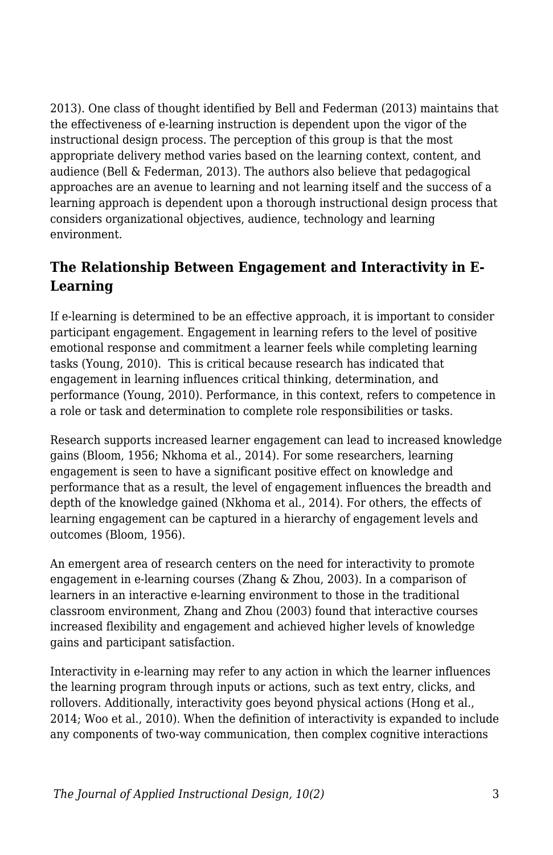2013). One class of thought identified by Bell and Federman (2013) maintains that the effectiveness of e-learning instruction is dependent upon the vigor of the instructional design process. The perception of this group is that the most appropriate delivery method varies based on the learning context, content, and audience (Bell & Federman, 2013). The authors also believe that pedagogical approaches are an avenue to learning and not learning itself and the success of a learning approach is dependent upon a thorough instructional design process that considers organizational objectives, audience, technology and learning environment.

## **The Relationship Between Engagement and Interactivity in E-Learning**

If e-learning is determined to be an effective approach, it is important to consider participant engagement. Engagement in learning refers to the level of positive emotional response and commitment a learner feels while completing learning tasks (Young, 2010). This is critical because research has indicated that engagement in learning influences critical thinking, determination, and performance (Young, 2010). Performance, in this context, refers to competence in a role or task and determination to complete role responsibilities or tasks.

Research supports increased learner engagement can lead to increased knowledge gains (Bloom, 1956; Nkhoma et al., 2014). For some researchers, learning engagement is seen to have a significant positive effect on knowledge and performance that as a result, the level of engagement influences the breadth and depth of the knowledge gained (Nkhoma et al., 2014). For others, the effects of learning engagement can be captured in a hierarchy of engagement levels and outcomes (Bloom, 1956).

An emergent area of research centers on the need for interactivity to promote engagement in e-learning courses (Zhang & Zhou, 2003). In a comparison of learners in an interactive e-learning environment to those in the traditional classroom environment, Zhang and Zhou (2003) found that interactive courses increased flexibility and engagement and achieved higher levels of knowledge gains and participant satisfaction.

Interactivity in e-learning may refer to any action in which the learner influences the learning program through inputs or actions, such as text entry, clicks, and rollovers. Additionally, interactivity goes beyond physical actions (Hong et al., 2014; Woo et al., 2010). When the definition of interactivity is expanded to include any components of two-way communication, then complex cognitive interactions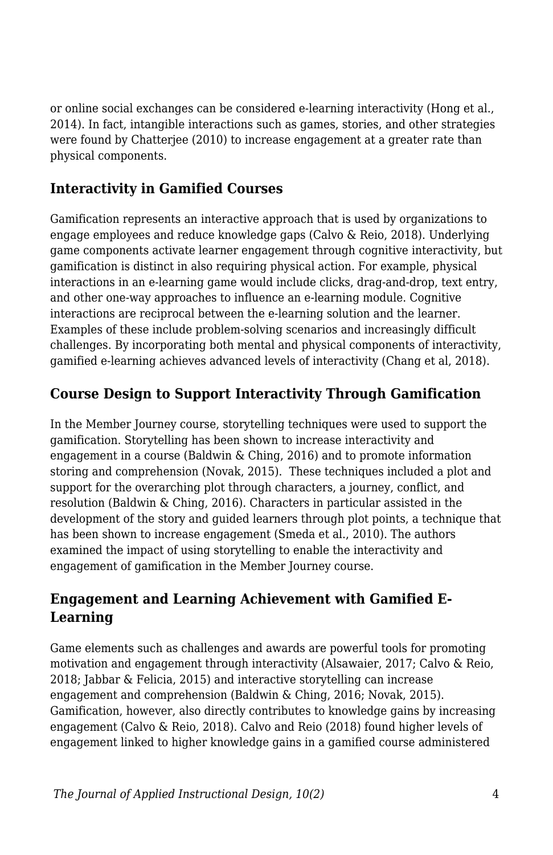or online social exchanges can be considered e-learning interactivity (Hong et al., 2014). In fact, intangible interactions such as games, stories, and other strategies were found by Chatterjee (2010) to increase engagement at a greater rate than physical components.

### **Interactivity in Gamified Courses**

Gamification represents an interactive approach that is used by organizations to engage employees and reduce knowledge gaps (Calvo & Reio, 2018). Underlying game components activate learner engagement through cognitive interactivity, but gamification is distinct in also requiring physical action. For example, physical interactions in an e-learning game would include clicks, drag-and-drop, text entry, and other one-way approaches to influence an e-learning module. Cognitive interactions are reciprocal between the e-learning solution and the learner. Examples of these include problem-solving scenarios and increasingly difficult challenges. By incorporating both mental and physical components of interactivity, gamified e-learning achieves advanced levels of interactivity (Chang et al, 2018).

## **Course Design to Support Interactivity Through Gamification**

In the Member Journey course, storytelling techniques were used to support the gamification. Storytelling has been shown to increase interactivity and engagement in a course (Baldwin & Ching, 2016) and to promote information storing and comprehension (Novak, 2015). These techniques included a plot and support for the overarching plot through characters, a journey, conflict, and resolution (Baldwin & Ching, 2016). Characters in particular assisted in the development of the story and guided learners through plot points, a technique that has been shown to increase engagement (Smeda et al., 2010). The authors examined the impact of using storytelling to enable the interactivity and engagement of gamification in the Member Journey course.

### **Engagement and Learning Achievement with Gamified E-Learning**

Game elements such as challenges and awards are powerful tools for promoting motivation and engagement through interactivity (Alsawaier, 2017; Calvo & Reio, 2018; Jabbar & Felicia, 2015) and interactive storytelling can increase engagement and comprehension (Baldwin & Ching, 2016; Novak, 2015). Gamification, however, also directly contributes to knowledge gains by increasing engagement (Calvo & Reio, 2018). Calvo and Reio (2018) found higher levels of engagement linked to higher knowledge gains in a gamified course administered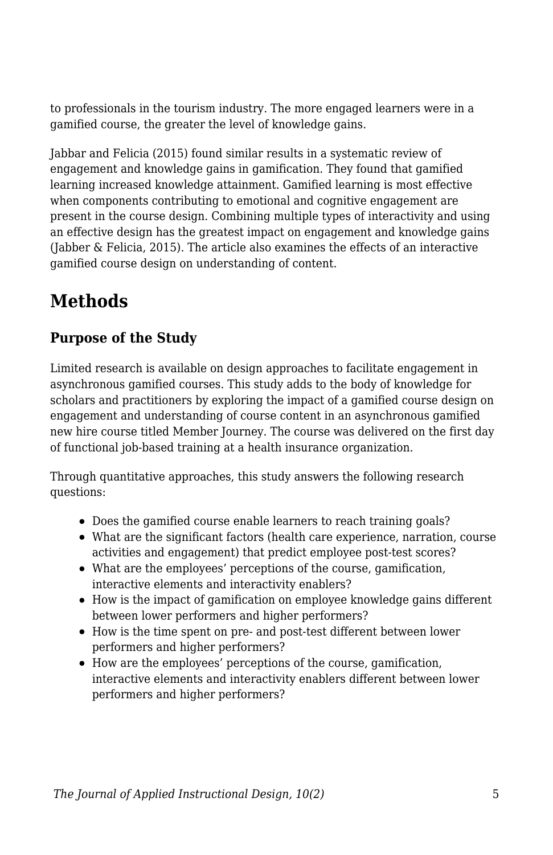to professionals in the tourism industry. The more engaged learners were in a gamified course, the greater the level of knowledge gains.

Jabbar and Felicia (2015) found similar results in a systematic review of engagement and knowledge gains in gamification. They found that gamified learning increased knowledge attainment. Gamified learning is most effective when components contributing to emotional and cognitive engagement are present in the course design. Combining multiple types of interactivity and using an effective design has the greatest impact on engagement and knowledge gains (Jabber & Felicia, 2015). The article also examines the effects of an interactive gamified course design on understanding of content.

# **Methods**

## **Purpose of the Study**

Limited research is available on design approaches to facilitate engagement in asynchronous gamified courses. This study adds to the body of knowledge for scholars and practitioners by exploring the impact of a gamified course design on engagement and understanding of course content in an asynchronous gamified new hire course titled Member Journey. The course was delivered on the first day of functional job-based training at a health insurance organization.

Through quantitative approaches, this study answers the following research questions:

- Does the gamified course enable learners to reach training goals?
- What are the significant factors (health care experience, narration, course activities and engagement) that predict employee post-test scores?
- What are the employees' perceptions of the course, gamification, interactive elements and interactivity enablers?
- How is the impact of gamification on employee knowledge gains different between lower performers and higher performers?
- How is the time spent on pre- and post-test different between lower performers and higher performers?
- How are the employees' perceptions of the course, gamification, interactive elements and interactivity enablers different between lower performers and higher performers?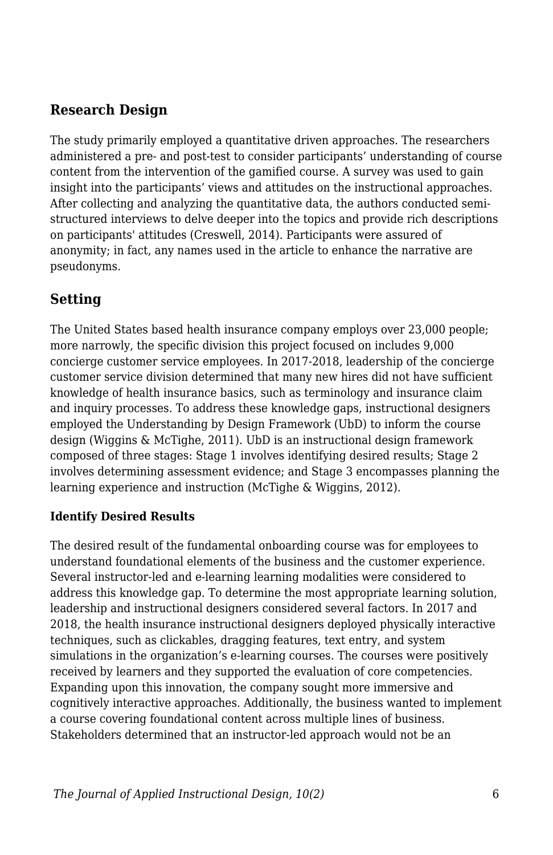### **Research Design**

The study primarily employed a quantitative driven approaches. The researchers administered a pre- and post-test to consider participants' understanding of course content from the intervention of the gamified course. A survey was used to gain insight into the participants' views and attitudes on the instructional approaches. After collecting and analyzing the quantitative data, the authors conducted semistructured interviews to delve deeper into the topics and provide rich descriptions on participants' attitudes (Creswell, 2014). Participants were assured of anonymity; in fact, any names used in the article to enhance the narrative are pseudonyms.

## **Setting**

The United States based health insurance company employs over 23,000 people; more narrowly, the specific division this project focused on includes 9,000 concierge customer service employees. In 2017-2018, leadership of the concierge customer service division determined that many new hires did not have sufficient knowledge of health insurance basics, such as terminology and insurance claim and inquiry processes. To address these knowledge gaps, instructional designers employed the Understanding by Design Framework (UbD) to inform the course design (Wiggins & McTighe, 2011). UbD is an instructional design framework composed of three stages: Stage 1 involves identifying desired results; Stage 2 involves determining assessment evidence; and Stage 3 encompasses planning the learning experience and instruction (McTighe & Wiggins, 2012).

### **Identify Desired Results**

The desired result of the fundamental onboarding course was for employees to understand foundational elements of the business and the customer experience. Several instructor-led and e-learning learning modalities were considered to address this knowledge gap. To determine the most appropriate learning solution, leadership and instructional designers considered several factors. In 2017 and 2018, the health insurance instructional designers deployed physically interactive techniques, such as clickables, dragging features, text entry, and system simulations in the organization's e-learning courses. The courses were positively received by learners and they supported the evaluation of core competencies. Expanding upon this innovation, the company sought more immersive and cognitively interactive approaches. Additionally, the business wanted to implement a course covering foundational content across multiple lines of business. Stakeholders determined that an instructor-led approach would not be an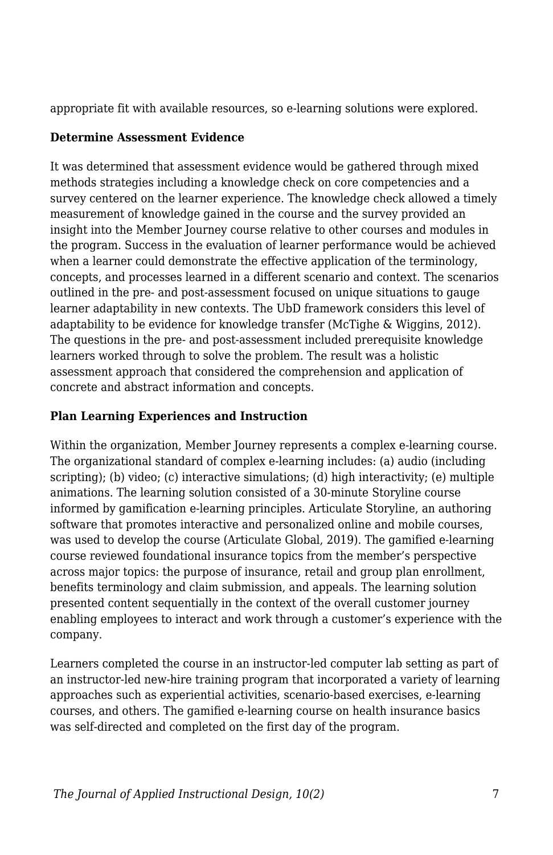appropriate fit with available resources, so e-learning solutions were explored.

#### **Determine Assessment Evidence**

It was determined that assessment evidence would be gathered through mixed methods strategies including a knowledge check on core competencies and a survey centered on the learner experience. The knowledge check allowed a timely measurement of knowledge gained in the course and the survey provided an insight into the Member Journey course relative to other courses and modules in the program. Success in the evaluation of learner performance would be achieved when a learner could demonstrate the effective application of the terminology, concepts, and processes learned in a different scenario and context. The scenarios outlined in the pre- and post-assessment focused on unique situations to gauge learner adaptability in new contexts. The UbD framework considers this level of adaptability to be evidence for knowledge transfer (McTighe & Wiggins, 2012). The questions in the pre- and post-assessment included prerequisite knowledge learners worked through to solve the problem. The result was a holistic assessment approach that considered the comprehension and application of concrete and abstract information and concepts.

### **Plan Learning Experiences and Instruction**

Within the organization, Member Journey represents a complex e-learning course. The organizational standard of complex e-learning includes: (a) audio (including scripting); (b) video; (c) interactive simulations; (d) high interactivity; (e) multiple animations. The learning solution consisted of a 30-minute Storyline course informed by gamification e-learning principles. Articulate Storyline, an authoring software that promotes interactive and personalized online and mobile courses, was used to develop the course (Articulate Global, 2019). The gamified e-learning course reviewed foundational insurance topics from the member's perspective across major topics: the purpose of insurance, retail and group plan enrollment, benefits terminology and claim submission, and appeals. The learning solution presented content sequentially in the context of the overall customer journey enabling employees to interact and work through a customer's experience with the company.

Learners completed the course in an instructor-led computer lab setting as part of an instructor-led new-hire training program that incorporated a variety of learning approaches such as experiential activities, scenario-based exercises, e-learning courses, and others. The gamified e-learning course on health insurance basics was self-directed and completed on the first day of the program.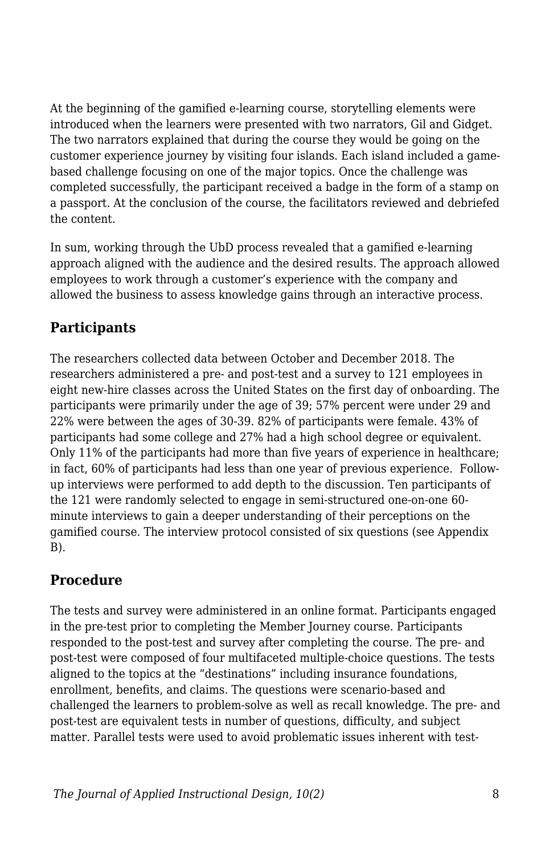At the beginning of the gamified e-learning course, storytelling elements were introduced when the learners were presented with two narrators, Gil and Gidget. The two narrators explained that during the course they would be going on the customer experience journey by visiting four islands. Each island included a gamebased challenge focusing on one of the major topics. Once the challenge was completed successfully, the participant received a badge in the form of a stamp on a passport. At the conclusion of the course, the facilitators reviewed and debriefed the content.

In sum, working through the UbD process revealed that a gamified e-learning approach aligned with the audience and the desired results. The approach allowed employees to work through a customer's experience with the company and allowed the business to assess knowledge gains through an interactive process.

## **Participants**

The researchers collected data between October and December 2018. The researchers administered a pre- and post-test and a survey to 121 employees in eight new-hire classes across the United States on the first day of onboarding. The participants were primarily under the age of 39; 57% percent were under 29 and 22% were between the ages of 30-39. 82% of participants were female. 43% of participants had some college and 27% had a high school degree or equivalent. Only 11% of the participants had more than five years of experience in healthcare; in fact, 60% of participants had less than one year of previous experience. Followup interviews were performed to add depth to the discussion. Ten participants of the 121 were randomly selected to engage in semi-structured one-on-one 60 minute interviews to gain a deeper understanding of their perceptions on the gamified course. The interview protocol consisted of six questions (see Appendix B).

## **Procedure**

The tests and survey were administered in an online format. Participants engaged in the pre-test prior to completing the Member Journey course. Participants responded to the post-test and survey after completing the course. The pre- and post-test were composed of four multifaceted multiple-choice questions. The tests aligned to the topics at the "destinations" including insurance foundations, enrollment, benefits, and claims. The questions were scenario-based and challenged the learners to problem-solve as well as recall knowledge. The pre- and post-test are equivalent tests in number of questions, difficulty, and subject matter. Parallel tests were used to avoid problematic issues inherent with test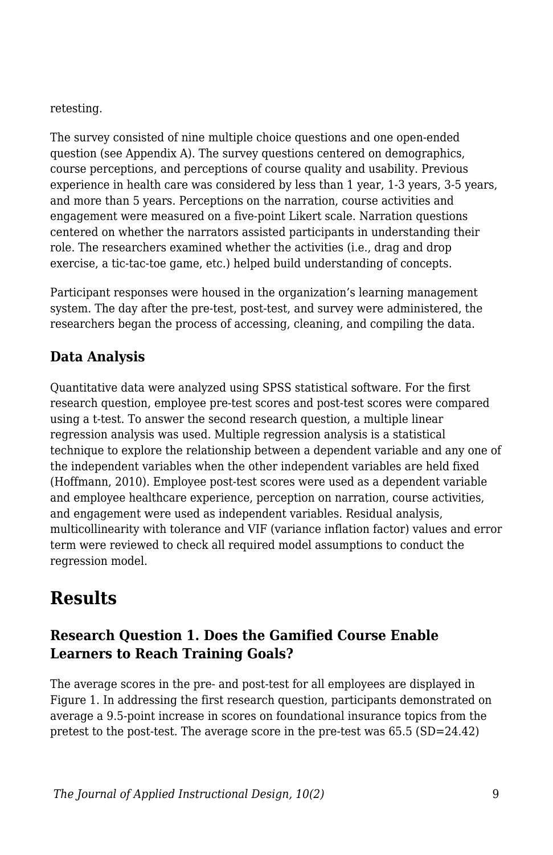retesting.

The survey consisted of nine multiple choice questions and one open-ended question (see Appendix A). The survey questions centered on demographics, course perceptions, and perceptions of course quality and usability. Previous experience in health care was considered by less than 1 year, 1-3 years, 3-5 years, and more than 5 years. Perceptions on the narration, course activities and engagement were measured on a five-point Likert scale. Narration questions centered on whether the narrators assisted participants in understanding their role. The researchers examined whether the activities (i.e., drag and drop exercise, a tic-tac-toe game, etc.) helped build understanding of concepts.

Participant responses were housed in the organization's learning management system. The day after the pre-test, post-test, and survey were administered, the researchers began the process of accessing, cleaning, and compiling the data.

## **Data Analysis**

Quantitative data were analyzed using SPSS statistical software. For the first research question, employee pre-test scores and post-test scores were compared using a t-test. To answer the second research question, a multiple linear regression analysis was used. Multiple regression analysis is a statistical technique to explore the relationship between a dependent variable and any one of the independent variables when the other independent variables are held fixed (Hoffmann, 2010). Employee post-test scores were used as a dependent variable and employee healthcare experience, perception on narration, course activities, and engagement were used as independent variables. Residual analysis, multicollinearity with tolerance and VIF (variance inflation factor) values and error term were reviewed to check all required model assumptions to conduct the regression model.

# **Results**

### **Research Question 1. Does the Gamified Course Enable Learners to Reach Training Goals?**

The average scores in the pre- and post-test for all employees are displayed in Figure 1. In addressing the first research question, participants demonstrated on average a 9.5-point increase in scores on foundational insurance topics from the pretest to the post-test. The average score in the pre-test was 65.5 (SD=24.42)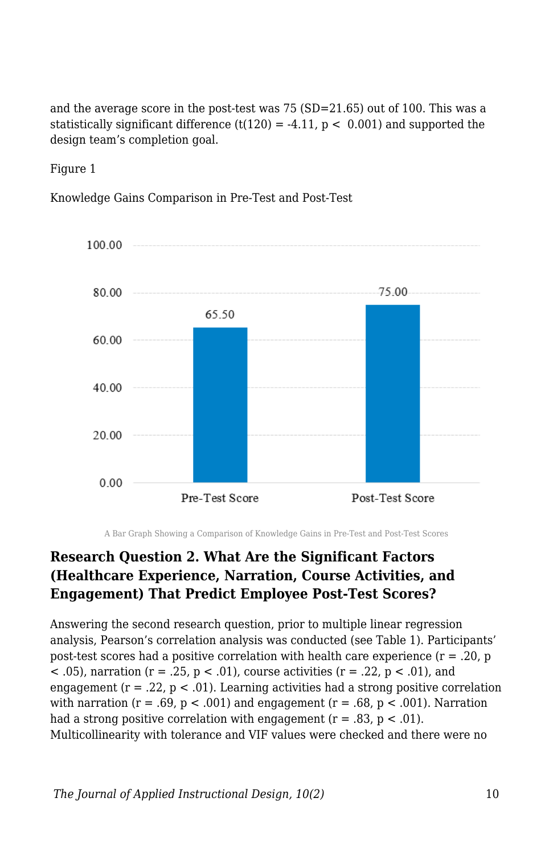and the average score in the post-test was 75 (SD=21.65) out of 100. This was a statistically significant difference  $(t(120) = -4.11, p < 0.001)$  and supported the design team's completion goal.

Figure 1

Knowledge Gains Comparison in Pre-Test and Post-Test



A Bar Graph Showing a Comparison of Knowledge Gains in Pre-Test and Post-Test Scores

### **Research Question 2. What Are the Significant Factors (Healthcare Experience, Narration, Course Activities, and Engagement) That Predict Employee Post-Test Scores?**

Answering the second research question, prior to multiple linear regression analysis, Pearson's correlation analysis was conducted (see Table 1). Participants' post-test scores had a positive correlation with health care experience  $(r = .20, p)$  $(6.05)$ , narration (r = .25, p  $(6.01)$ , course activities (r = .22, p  $(6.01)$ , and engagement ( $r = .22$ ,  $p < .01$ ). Learning activities had a strong positive correlation with narration  $(r = .69, p < .001)$  and engagement  $(r = .68, p < .001)$ . Narration had a strong positive correlation with engagement  $(r = .83, p < .01)$ . Multicollinearity with tolerance and VIF values were checked and there were no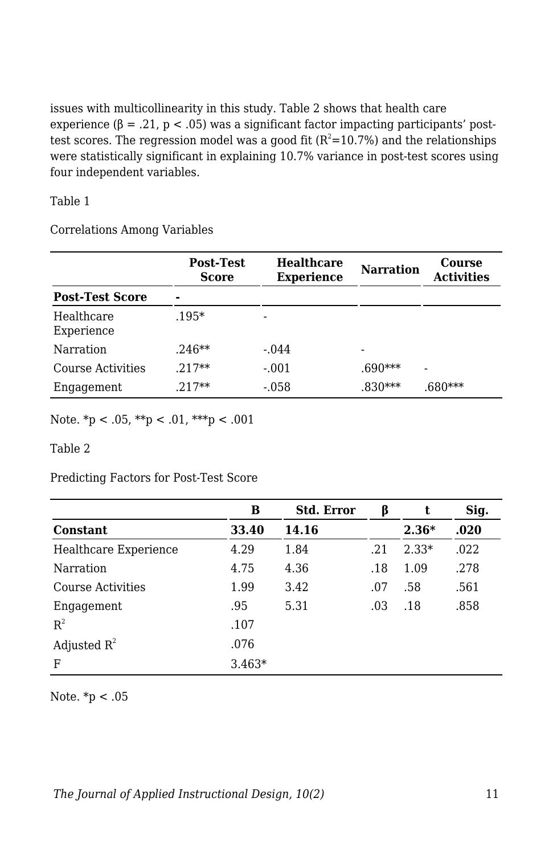issues with multicollinearity in this study. Table 2 shows that health care experience ( $\beta = .21$ ,  $p < .05$ ) was a significant factor impacting participants' posttest scores. The regression model was a good fit  $(R^2=10.7%)$  and the relationships were statistically significant in explaining 10.7% variance in post-test scores using four independent variables.

#### Table 1

Correlations Among Variables

|                          | Post-Test<br><b>Score</b> | <b>Healthcare</b><br><b>Experience</b> | <b>Narration</b> | Course<br><b>Activities</b> |  |
|--------------------------|---------------------------|----------------------------------------|------------------|-----------------------------|--|
| <b>Post-Test Score</b>   |                           |                                        |                  |                             |  |
| Healthcare<br>Experience | $.195*$                   |                                        |                  |                             |  |
| Narration                | $.246**$                  | $-.044$                                |                  |                             |  |
| Course Activities        | $.217**$                  | $-.001$                                | .690***          | -                           |  |
| Engagement               | $.217**$                  | $-.058$                                | $.830***$        | $.680***$                   |  |

Note.  $np < .05$ ,  $**p < .01$ ,  $***p < .001$ 

Table 2

Predicting Factors for Post-Test Score

|                       | в        | <b>Std. Error</b> | ß   | t       | Sig. |
|-----------------------|----------|-------------------|-----|---------|------|
| <b>Constant</b>       | 33.40    | 14.16             |     | $2.36*$ | .020 |
| Healthcare Experience | 4.29     | 1.84              | .21 | $2.33*$ | .022 |
| Narration             | 4.75     | 4.36              | .18 | 1.09    | .278 |
| Course Activities     | 1.99     | 3.42              | .07 | .58     | .561 |
| Engagement            | .95      | 5.31              | .03 | .18     | .858 |
| $R^2$                 | .107     |                   |     |         |      |
| Adjusted $R^2$        | .076     |                   |     |         |      |
| F                     | $3.463*$ |                   |     |         |      |

Note. \*p < .05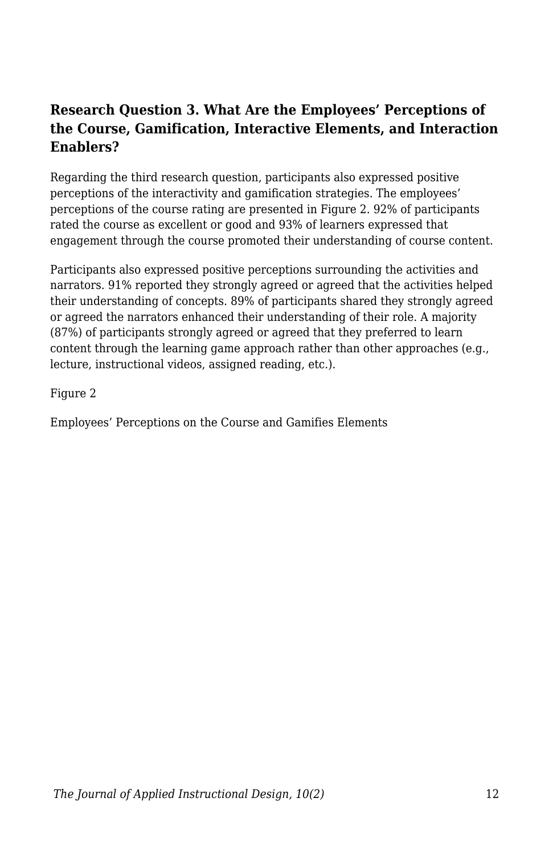### **Research Question 3. What Are the Employees' Perceptions of the Course, Gamification, Interactive Elements, and Interaction Enablers?**

Regarding the third research question, participants also expressed positive perceptions of the interactivity and gamification strategies. The employees' perceptions of the course rating are presented in Figure 2. 92% of participants rated the course as excellent or good and 93% of learners expressed that engagement through the course promoted their understanding of course content.

Participants also expressed positive perceptions surrounding the activities and narrators. 91% reported they strongly agreed or agreed that the activities helped their understanding of concepts. 89% of participants shared they strongly agreed or agreed the narrators enhanced their understanding of their role. A majority (87%) of participants strongly agreed or agreed that they preferred to learn content through the learning game approach rather than other approaches (e.g., lecture, instructional videos, assigned reading, etc.).

Figure 2

Employees' Perceptions on the Course and Gamifies Elements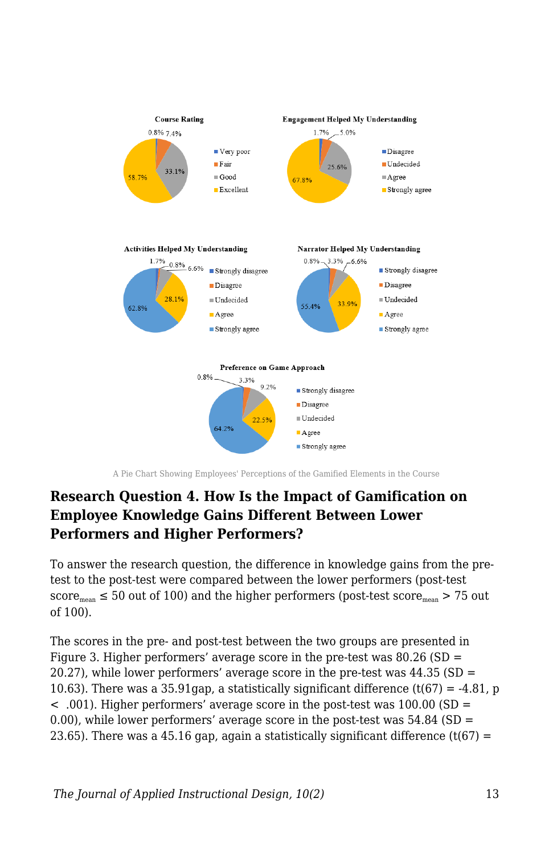

A Pie Chart Showing Employees' Perceptions of the Gamified Elements in the Course

### **Research Question 4. How Is the Impact of Gamification on Employee Knowledge Gains Different Between Lower Performers and Higher Performers?**

To answer the research question, the difference in knowledge gains from the pretest to the post-test were compared between the lower performers (post-test score<sub>mean</sub>  $\leq$  50 out of 100) and the higher performers (post-test score<sub>mean</sub> > 75 out of 100).

The scores in the pre- and post-test between the two groups are presented in Figure 3. Higher performers' average score in the pre-test was  $80.26$  (SD = 20.27), while lower performers' average score in the pre-test was 44.35 (SD = 10.63). There was a 35.91gap, a statistically significant difference  $(t(67) = -4.81$ , p < .001). Higher performers' average score in the post-test was 100.00 (SD = 0.00), while lower performers' average score in the post-test was  $54.84$  (SD = 23.65). There was a 45.16 gap, again a statistically significant difference (t(67) =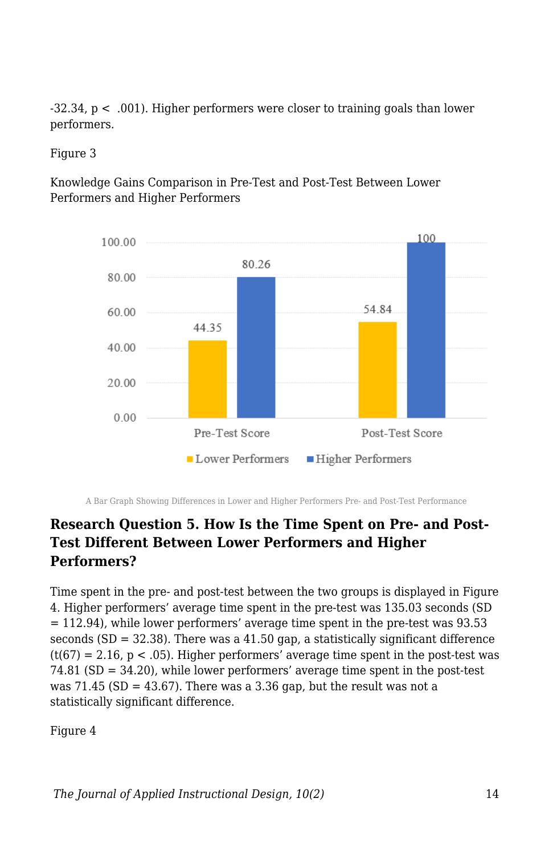-32.34, p < .001). Higher performers were closer to training goals than lower performers.

Figure 3

Knowledge Gains Comparison in Pre-Test and Post-Test Between Lower Performers and Higher Performers



A Bar Graph Showing Differences in Lower and Higher Performers Pre- and Post-Test Performance

### **Research Question 5. How Is the Time Spent on Pre- and Post-Test Different Between Lower Performers and Higher Performers?**

Time spent in the pre- and post-test between the two groups is displayed in Figure 4. Higher performers' average time spent in the pre-test was 135.03 seconds (SD  $= 112.94$ ), while lower performers' average time spent in the pre-test was 93.53 seconds  $(SD = 32.38)$ . There was a 41.50 gap, a statistically significant difference  $(t(67) = 2.16, p < .05)$ . Higher performers' average time spent in the post-test was 74.81 (SD = 34.20), while lower performers' average time spent in the post-test was  $71.45$  (SD = 43.67). There was a 3.36 gap, but the result was not a statistically significant difference.

Figure 4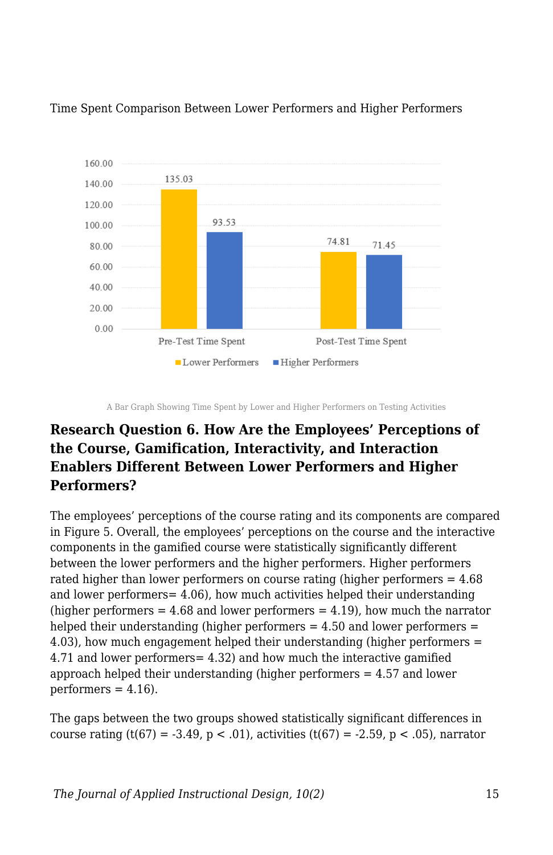

Time Spent Comparison Between Lower Performers and Higher Performers

### **Research Question 6. How Are the Employees' Perceptions of the Course, Gamification, Interactivity, and Interaction Enablers Different Between Lower Performers and Higher Performers?**

The employees' perceptions of the course rating and its components are compared in Figure 5. Overall, the employees' perceptions on the course and the interactive components in the gamified course were statistically significantly different between the lower performers and the higher performers. Higher performers rated higher than lower performers on course rating (higher performers = 4.68 and lower performers= 4.06), how much activities helped their understanding (higher performers  $= 4.68$  and lower performers  $= 4.19$ ), how much the narrator helped their understanding (higher performers = 4.50 and lower performers = 4.03), how much engagement helped their understanding (higher performers = 4.71 and lower performers= 4.32) and how much the interactive gamified approach helped their understanding (higher performers = 4.57 and lower  $performs = 4.16$ .

The gaps between the two groups showed statistically significant differences in course rating  $(t(67) = -3.49, p < .01)$ , activities  $(t(67) = -2.59, p < .05)$ , narrator

A Bar Graph Showing Time Spent by Lower and Higher Performers on Testing Activities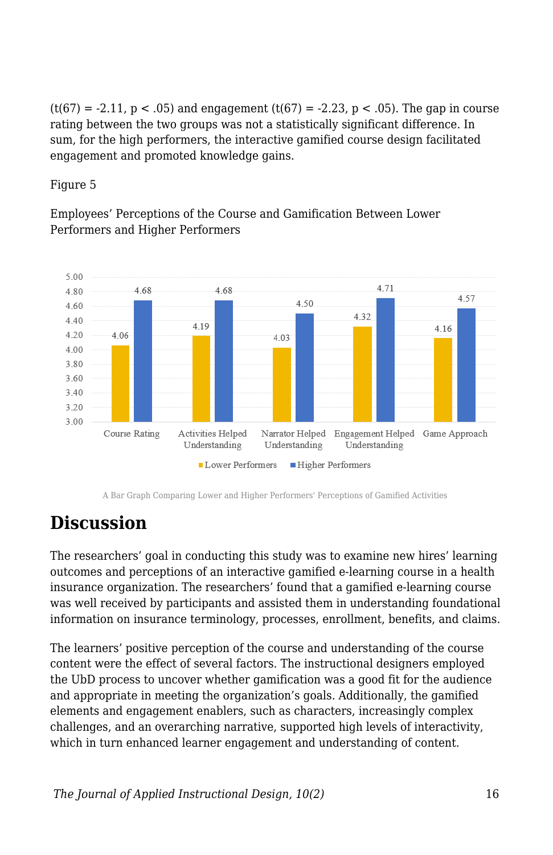$(t(67) = -2.11, p < .05)$  and engagement  $(t(67) = -2.23, p < .05)$ . The gap in course rating between the two groups was not a statistically significant difference. In sum, for the high performers, the interactive gamified course design facilitated engagement and promoted knowledge gains.

Figure 5

Employees' Perceptions of the Course and Gamification Between Lower Performers and Higher Performers



A Bar Graph Comparing Lower and Higher Performers' Perceptions of Gamified Activities

# **Discussion**

The researchers' goal in conducting this study was to examine new hires' learning outcomes and perceptions of an interactive gamified e-learning course in a health insurance organization. The researchers' found that a gamified e-learning course was well received by participants and assisted them in understanding foundational information on insurance terminology, processes, enrollment, benefits, and claims.

The learners' positive perception of the course and understanding of the course content were the effect of several factors. The instructional designers employed the UbD process to uncover whether gamification was a good fit for the audience and appropriate in meeting the organization's goals. Additionally, the gamified elements and engagement enablers, such as characters, increasingly complex challenges, and an overarching narrative, supported high levels of interactivity, which in turn enhanced learner engagement and understanding of content.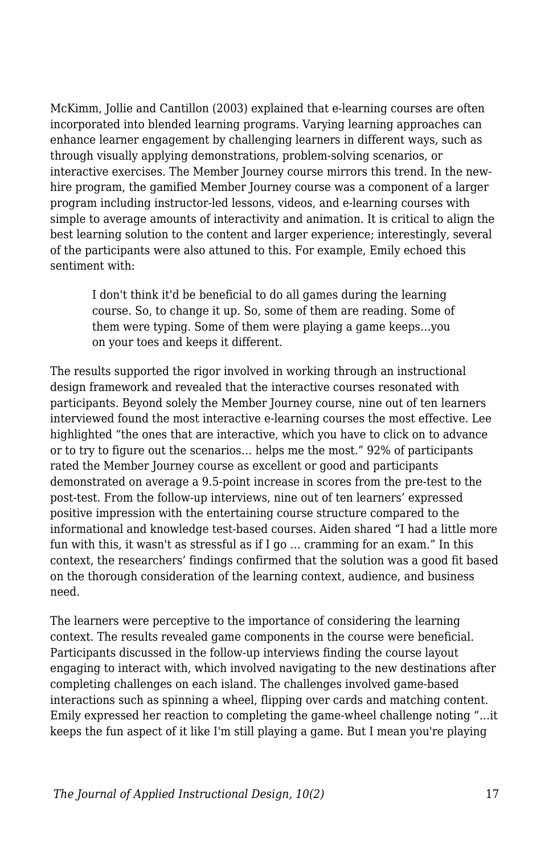McKimm, Jollie and Cantillon (2003) explained that e-learning courses are often incorporated into blended learning programs. Varying learning approaches can enhance learner engagement by challenging learners in different ways, such as through visually applying demonstrations, problem-solving scenarios, or interactive exercises. The Member Journey course mirrors this trend. In the newhire program, the gamified Member Journey course was a component of a larger program including instructor-led lessons, videos, and e-learning courses with simple to average amounts of interactivity and animation. It is critical to align the best learning solution to the content and larger experience; interestingly, several of the participants were also attuned to this. For example, Emily echoed this sentiment with:

I don't think it'd be beneficial to do all games during the learning course. So, to change it up. So, some of them are reading. Some of them were typing. Some of them were playing a game keeps…you on your toes and keeps it different.

The results supported the rigor involved in working through an instructional design framework and revealed that the interactive courses resonated with participants. Beyond solely the Member Journey course, nine out of ten learners interviewed found the most interactive e-learning courses the most effective. Lee highlighted "the ones that are interactive, which you have to click on to advance or to try to figure out the scenarios… helps me the most." 92% of participants rated the Member Journey course as excellent or good and participants demonstrated on average a 9.5-point increase in scores from the pre-test to the post-test. From the follow-up interviews, nine out of ten learners' expressed positive impression with the entertaining course structure compared to the informational and knowledge test-based courses. Aiden shared "I had a little more fun with this, it wasn't as stressful as if I go … cramming for an exam." In this context, the researchers' findings confirmed that the solution was a good fit based on the thorough consideration of the learning context, audience, and business need.

The learners were perceptive to the importance of considering the learning context. The results revealed game components in the course were beneficial. Participants discussed in the follow-up interviews finding the course layout engaging to interact with, which involved navigating to the new destinations after completing challenges on each island. The challenges involved game-based interactions such as spinning a wheel, flipping over cards and matching content. Emily expressed her reaction to completing the game-wheel challenge noting "…it keeps the fun aspect of it like I'm still playing a game. But I mean you're playing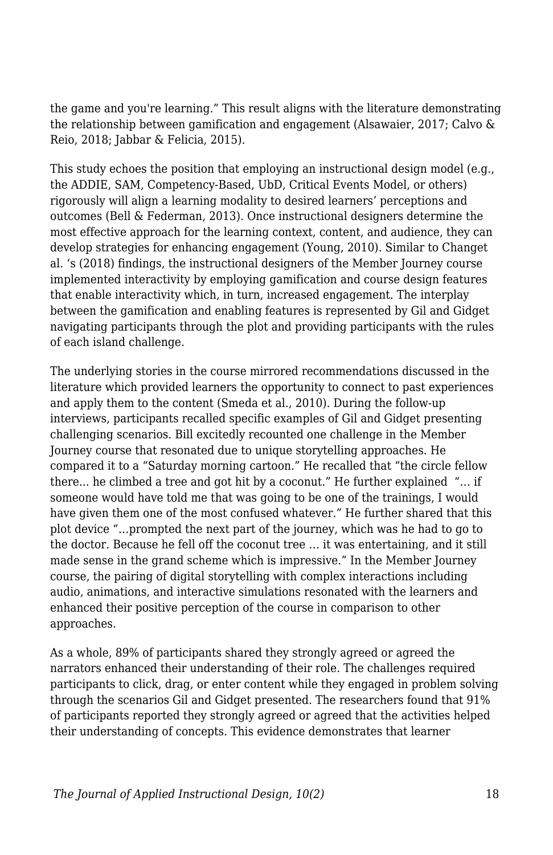the game and you're learning." This result aligns with the literature demonstrating the relationship between gamification and engagement (Alsawaier, 2017; Calvo & Reio, 2018; Jabbar & Felicia, 2015).

This study echoes the position that employing an instructional design model (e.g., the ADDIE, SAM, Competency-Based, UbD, Critical Events Model, or others) rigorously will align a learning modality to desired learners' perceptions and outcomes (Bell & Federman, 2013). Once instructional designers determine the most effective approach for the learning context, content, and audience, they can develop strategies for enhancing engagement (Young, 2010). Similar to Changet al. 's (2018) findings, the instructional designers of the Member Journey course implemented interactivity by employing gamification and course design features that enable interactivity which, in turn, increased engagement. The interplay between the gamification and enabling features is represented by Gil and Gidget navigating participants through the plot and providing participants with the rules of each island challenge.

The underlying stories in the course mirrored recommendations discussed in the literature which provided learners the opportunity to connect to past experiences and apply them to the content (Smeda et al., 2010). During the follow-up interviews, participants recalled specific examples of Gil and Gidget presenting challenging scenarios. Bill excitedly recounted one challenge in the Member Journey course that resonated due to unique storytelling approaches. He compared it to a "Saturday morning cartoon." He recalled that "the circle fellow there... he climbed a tree and got hit by a coconut." He further explained "… if someone would have told me that was going to be one of the trainings, I would have given them one of the most confused whatever." He further shared that this plot device "…prompted the next part of the journey, which was he had to go to the doctor. Because he fell off the coconut tree … it was entertaining, and it still made sense in the grand scheme which is impressive." In the Member Journey course, the pairing of digital storytelling with complex interactions including audio, animations, and interactive simulations resonated with the learners and enhanced their positive perception of the course in comparison to other approaches.

As a whole, 89% of participants shared they strongly agreed or agreed the narrators enhanced their understanding of their role. The challenges required participants to click, drag, or enter content while they engaged in problem solving through the scenarios Gil and Gidget presented. The researchers found that 91% of participants reported they strongly agreed or agreed that the activities helped their understanding of concepts. This evidence demonstrates that learner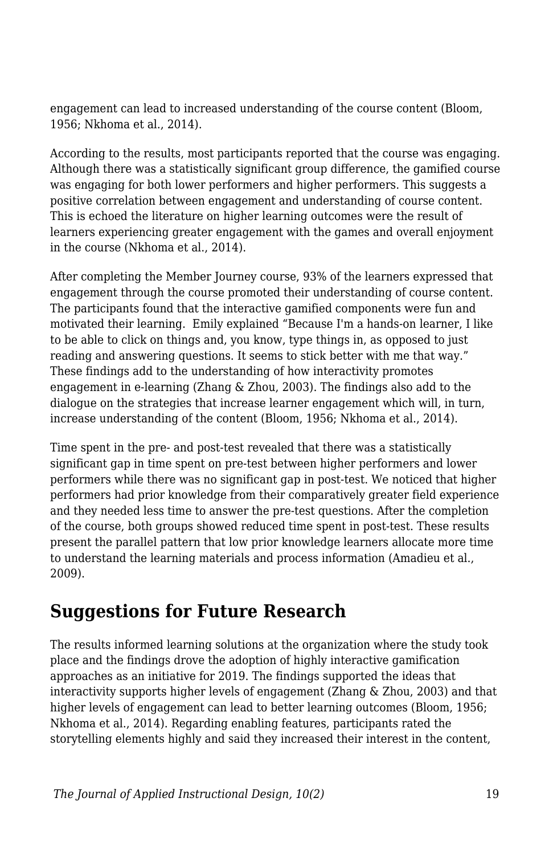engagement can lead to increased understanding of the course content (Bloom, 1956; Nkhoma et al., 2014).

According to the results, most participants reported that the course was engaging. Although there was a statistically significant group difference, the gamified course was engaging for both lower performers and higher performers. This suggests a positive correlation between engagement and understanding of course content. This is echoed the literature on higher learning outcomes were the result of learners experiencing greater engagement with the games and overall enjoyment in the course (Nkhoma et al., 2014).

After completing the Member Journey course, 93% of the learners expressed that engagement through the course promoted their understanding of course content. The participants found that the interactive gamified components were fun and motivated their learning. Emily explained "Because I'm a hands-on learner, I like to be able to click on things and, you know, type things in, as opposed to just reading and answering questions. It seems to stick better with me that way." These findings add to the understanding of how interactivity promotes engagement in e-learning (Zhang & Zhou, 2003). The findings also add to the dialogue on the strategies that increase learner engagement which will, in turn, increase understanding of the content (Bloom, 1956; Nkhoma et al., 2014).

Time spent in the pre- and post-test revealed that there was a statistically significant gap in time spent on pre-test between higher performers and lower performers while there was no significant gap in post-test. We noticed that higher performers had prior knowledge from their comparatively greater field experience and they needed less time to answer the pre-test questions. After the completion of the course, both groups showed reduced time spent in post-test. These results present the parallel pattern that low prior knowledge learners allocate more time to understand the learning materials and process information (Amadieu et al., 2009).

## **Suggestions for Future Research**

The results informed learning solutions at the organization where the study took place and the findings drove the adoption of highly interactive gamification approaches as an initiative for 2019. The findings supported the ideas that interactivity supports higher levels of engagement (Zhang & Zhou, 2003) and that higher levels of engagement can lead to better learning outcomes (Bloom, 1956; Nkhoma et al., 2014). Regarding enabling features, participants rated the storytelling elements highly and said they increased their interest in the content,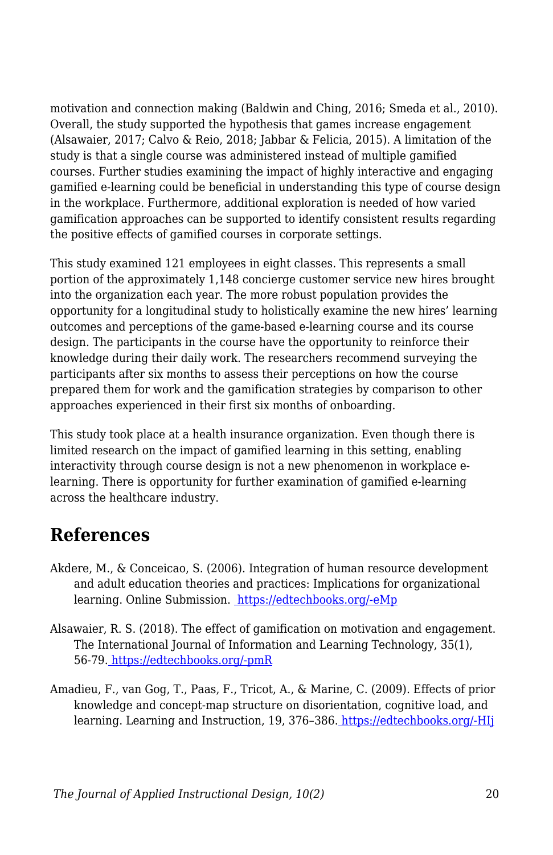motivation and connection making (Baldwin and Ching, 2016; Smeda et al., 2010). Overall, the study supported the hypothesis that games increase engagement (Alsawaier, 2017; Calvo & Reio, 2018; Jabbar & Felicia, 2015). A limitation of the study is that a single course was administered instead of multiple gamified courses. Further studies examining the impact of highly interactive and engaging gamified e-learning could be beneficial in understanding this type of course design in the workplace. Furthermore, additional exploration is needed of how varied gamification approaches can be supported to identify consistent results regarding the positive effects of gamified courses in corporate settings.

This study examined 121 employees in eight classes. This represents a small portion of the approximately 1,148 concierge customer service new hires brought into the organization each year. The more robust population provides the opportunity for a longitudinal study to holistically examine the new hires' learning outcomes and perceptions of the game-based e-learning course and its course design. The participants in the course have the opportunity to reinforce their knowledge during their daily work. The researchers recommend surveying the participants after six months to assess their perceptions on how the course prepared them for work and the gamification strategies by comparison to other approaches experienced in their first six months of onboarding.

This study took place at a health insurance organization. Even though there is limited research on the impact of gamified learning in this setting, enabling interactivity through course design is not a new phenomenon in workplace elearning. There is opportunity for further examination of gamified e-learning across the healthcare industry.

# **References**

- Akdere, M., & Conceicao, S. (2006). Integration of human resource development and adult education theories and practices: Implications for organizational learning. Online Submission. [https://edtechbooks.org/-eMp](http://www.ulib.niu.edu:2274/contentdelivery/servlet/ERICServlet?accno=ED492681)
- Alsawaier, R. S. (2018). The effect of gamification on motivation and engagement. The International Journal of Information and Learning Technology, 35(1), 56-79[.](https://doi.org/10.1108/IJILT-02-2017-0009) [https://edtechbooks.org/-pmR](https://doi.org/10.1108/IJILT-02-2017-0009)
- Amadieu, F., van Gog, T., Paas, F., Tricot, A., & Marine, C. (2009). Effects of prior knowledge and concept-map structure on disorientation, cognitive load, and learning. Learning and Instruction, 19, 376-386. [https://edtechbooks.org/-HIj](https://doi.org/10.1016/j.learninstruc.2009.02.005)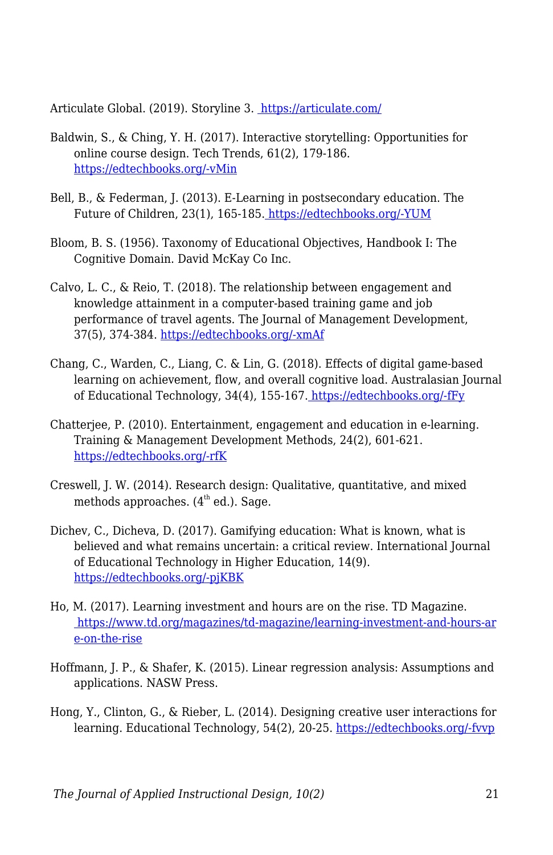Articulate Global. (2019). Storyline 3. <https://articulate.com/>

- Baldwin, S., & Ching, Y. H. (2017). Interactive storytelling: Opportunities for online course design. Tech Trends, 61(2), 179-186. [https://edtechbooks.org/-vMin](https://doi.org/10.1007/s11528-016-0136-2)
- Bell, B., & Federman, J. (2013). E-Learning in postsecondary education. The Future of Children, 23(1), 165-185. [https://edtechbooks.org/-YUM](https://doi.org/10.1353/foc.2013.0007)
- Bloom, B. S. (1956). Taxonomy of Educational Objectives, Handbook I: The Cognitive Domain. David McKay Co Inc.
- Calvo, L. C., & Reio, T. (2018). The relationship between engagement and knowledge attainment in a computer-based training game and job performance of travel agents. The Journal of Management Development, 37(5), 374-384. [https://edtechbooks.org/-xmAf](https://doi.org/10.1108/JMD-03-2017-0063)
- Chang, C., Warden, C., Liang, C. & Lin, G. (2018). Effects of digital game-based learning on achievement, flow, and overall cognitive load. Australasian Journal of Educational Technology, 34(4), 155-167. [https://edtechbooks.org/-fFy](https://doi.org/10.14742/ajet.2961)
- Chatterjee, P. (2010). Entertainment, engagement and education in e-learning. Training & Management Development Methods, 24(2), 601-621. [https://edtechbooks.org/-rfK](https://search-proquest-com.gatekeeper.chipublib.org/abicomplete/docview/202612033/2FB1A87A1B5D49FCPQ/30?accountid=303)
- Creswell, J. W. (2014). Research design: Qualitative, quantitative, and mixed methods approaches.  $(4<sup>th</sup>$  ed.). Sage.
- Dichev, C., Dicheva, D. (2017). Gamifying education: What is known, what is believed and what remains uncertain: a critical review. International Journal of Educational Technology in Higher Education, 14(9). [https://edtechbooks.org/-pjKBK](https://doi.org/10.1186/s41239-017-0042-5)
- Ho, M. (2017). Learning investment and hours are on the rise. TD Magazine.  [https://www.td.org/magazines/td-magazine/learning-investment-and-hours-ar](https://www.td.org/magazines/td-magazine/learning-investment-and-hours-are-on-the-rise) [e-on-the-rise](https://www.td.org/magazines/td-magazine/learning-investment-and-hours-are-on-the-rise)
- Hoffmann, J. P., & Shafer, K. (2015). Linear regression analysis: Assumptions and applications. NASW Press.
- Hong, Y., Clinton, G., & Rieber, L. (2014). Designing creative user interactions for learning. Educational Technology, 54(2), 20-25. [https://edtechbooks.org/-fvvp](http://www.jstor.org.gatekeeper.chipublib.org/stable/44430249)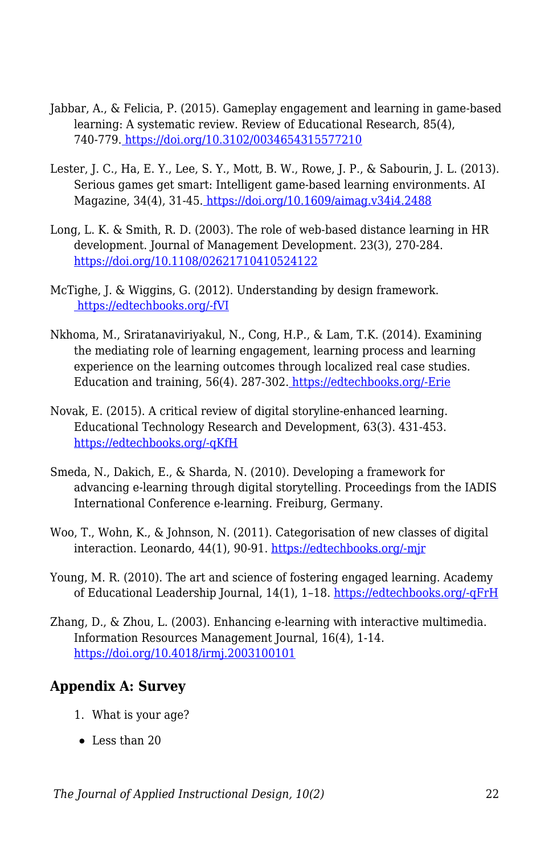- Jabbar, A., & Felicia, P. (2015). Gameplay engagement and learning in game-based learning: A systematic review. Review of Educational Research, 85(4), 740-779[. https://doi.org/10.3102/0034654315577210](https://doi.org/10.3102/0034654315577210)
- Lester, J. C., Ha, E. Y., Lee, S. Y., Mott, B. W., Rowe, J. P., & Sabourin, J. L. (2013). Serious games get smart: Intelligent game-based learning environments. AI Magazine, 34(4), 31-45.<https://doi.org/10.1609/aimag.v34i4.2488>
- Long, L. K. & Smith, R. D. (2003). The role of web-based distance learning in HR development. Journal of Management Development. 23(3), 270-284. <https://doi.org/10.1108/02621710410524122>
- McTighe, J. & Wiggins, G. (2012). Understanding by design framework. [https://edtechbooks.org/-fVI](https://www.ascd.org/ASCD/pdf/siteASCD/publications/UbD_WhitePaper0312.pdf)
- Nkhoma, M., Sriratanaviriyakul, N., Cong, H.P., & Lam, T.K. (2014). Examining the mediating role of learning engagement, learning process and learning experience on the learning outcomes through localized real case studies. Education and training, 56(4). 287-302. [https://edtechbooks.org/-Erie](https://doi.org/10.1108/ET-01-2013-0005)
- Novak, E. (2015). A critical review of digital storyline-enhanced learning. Educational Technology Research and Development, 63(3). 431-453. [https://edtechbooks.org/-qKfH](https://doi.org/10.1007/s11423-015-9372-y)
- Smeda, N., Dakich, E., & Sharda, N. (2010). Developing a framework for advancing e-learning through digital storytelling. Proceedings from the IADIS International Conference e-learning. Freiburg, Germany.
- Woo, T., Wohn, K., & Johnson, N. (2011). Categorisation of new classes of digital interaction. Leonardo, 44(1), 90-91. [https://edtechbooks.org/-mjr](http://www.jstor.org.gatekeeper.chipublib.org/stable/20869409)
- Young, M. R. (2010). The art and science of fostering engaged learning. Academy of Educational Leadership Journal, 14(1), 1–18. [https://edtechbooks.org/-qFrH](https://www.researchgate.net/publication/266862573_The_art_and_science_of_fostering_engaged_learning)
- Zhang, D., & Zhou, L. (2003). Enhancing e-learning with interactive multimedia. Information Resources Management Journal, 16(4), 1-14. <https://doi.org/10.4018/irmj.2003100101>

### **Appendix A: Survey**

- 1. What is your age?
- Less than 20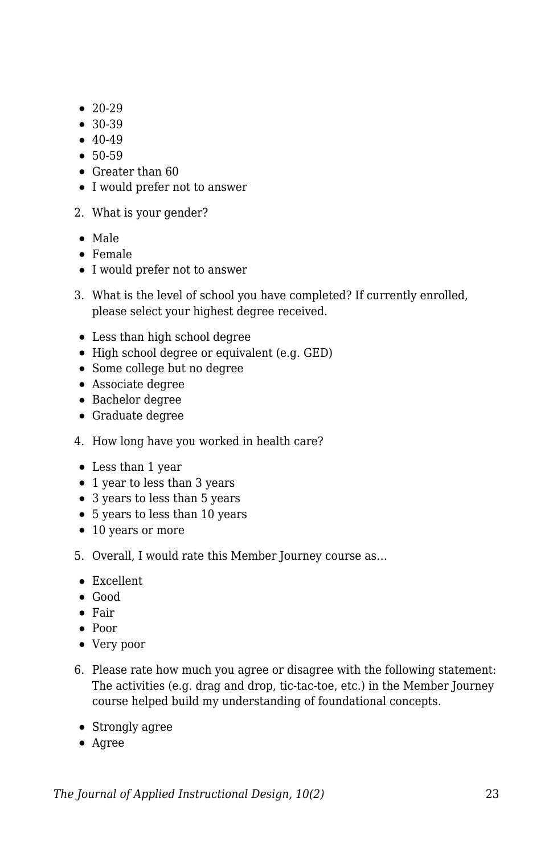- $20-29$
- $30-39$
- $40-49$
- 50-59
- Greater than 60
- I would prefer not to answer
- 2. What is your gender?
- Male
- Female
- I would prefer not to answer
- 3. What is the level of school you have completed? If currently enrolled, please select your highest degree received.
- Less than high school degree
- High school degree or equivalent (e.g. GED)
- Some college but no degree
- Associate degree
- Bachelor degree
- Graduate degree
- 4. How long have you worked in health care?
- Less than 1 year
- 1 year to less than 3 years
- 3 years to less than 5 years
- 5 years to less than 10 years
- 10 years or more
- 5. Overall, I would rate this Member Journey course as…
- Excellent
- Good
- Fair
- Poor
- Very poor
- 6. Please rate how much you agree or disagree with the following statement: The activities (e.g. drag and drop, tic-tac-toe, etc.) in the Member Journey course helped build my understanding of foundational concepts.
	- Strongly agree
	- Agree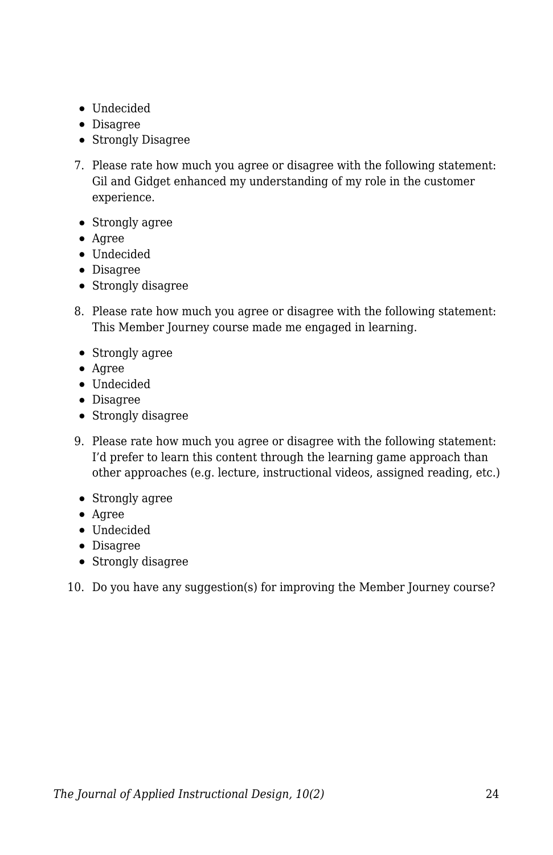- Undecided
- Disagree
- Strongly Disagree
- 7. Please rate how much you agree or disagree with the following statement: Gil and Gidget enhanced my understanding of my role in the customer experience.
- Strongly agree
- Agree
- Undecided
- Disagree
- Strongly disagree
- 8. Please rate how much you agree or disagree with the following statement: This Member Journey course made me engaged in learning.
- Strongly agree
- Agree
- Undecided
- Disagree
- Strongly disagree
- 9. Please rate how much you agree or disagree with the following statement: I'd prefer to learn this content through the learning game approach than other approaches (e.g. lecture, instructional videos, assigned reading, etc.)
- Strongly agree
- Agree
- Undecided
- Disagree
- Strongly disagree
- 10. Do you have any suggestion(s) for improving the Member Journey course?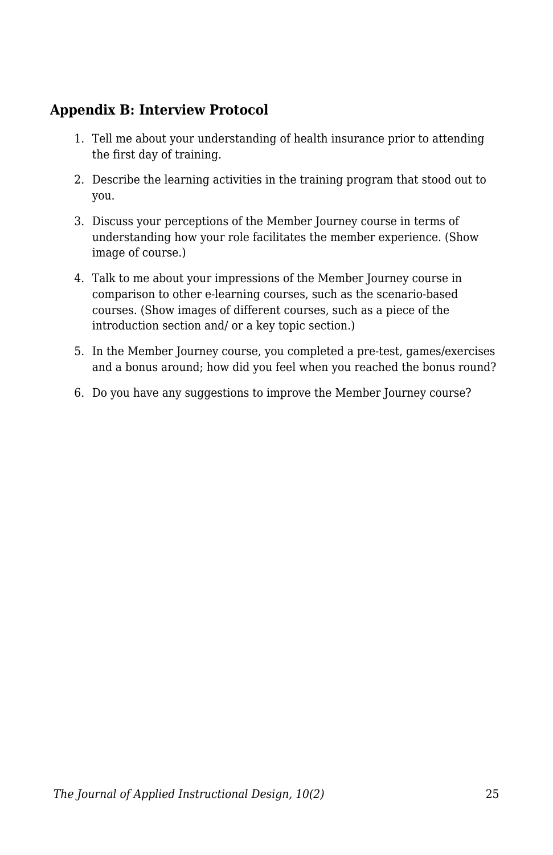### **Appendix B: Interview Protocol**

- 1. Tell me about your understanding of health insurance prior to attending the first day of training.
- 2. Describe the learning activities in the training program that stood out to you.
- 3. Discuss your perceptions of the Member Journey course in terms of understanding how your role facilitates the member experience. (Show image of course.)
- 4. Talk to me about your impressions of the Member Journey course in comparison to other e-learning courses, such as the scenario-based courses. (Show images of different courses, such as a piece of the introduction section and/ or a key topic section.)
- 5. In the Member Journey course, you completed a pre-test, games/exercises and a bonus around; how did you feel when you reached the bonus round?
- 6. Do you have any suggestions to improve the Member Journey course?